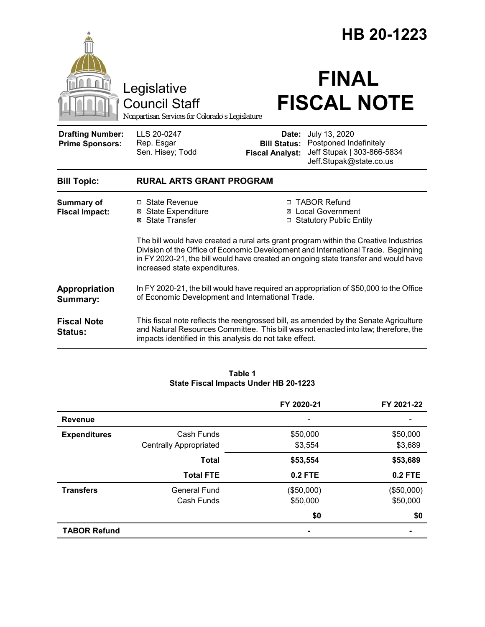|                                                                                        |                                                                                                                                                                                                                                                                                                    |                                                        | HB 20-1223                                                                                       |  |
|----------------------------------------------------------------------------------------|----------------------------------------------------------------------------------------------------------------------------------------------------------------------------------------------------------------------------------------------------------------------------------------------------|--------------------------------------------------------|--------------------------------------------------------------------------------------------------|--|
| Legislative<br><b>Council Staff</b><br>Nonpartisan Services for Colorado's Legislature |                                                                                                                                                                                                                                                                                                    | <b>FINAL</b><br><b>FISCAL NOTE</b>                     |                                                                                                  |  |
| <b>Drafting Number:</b><br><b>Prime Sponsors:</b>                                      | LLS 20-0247<br>Rep. Esgar<br>Sen. Hisey; Todd                                                                                                                                                                                                                                                      | Date:<br><b>Bill Status:</b><br><b>Fiscal Analyst:</b> | July 13, 2020<br>Postponed Indefinitely<br>Jeff Stupak   303-866-5834<br>Jeff.Stupak@state.co.us |  |
| <b>Bill Topic:</b>                                                                     | <b>RURAL ARTS GRANT PROGRAM</b>                                                                                                                                                                                                                                                                    |                                                        |                                                                                                  |  |
| Summary of<br><b>Fiscal Impact:</b>                                                    | $\Box$ State Revenue<br><b>⊠</b> State Expenditure<br>⊠ State Transfer                                                                                                                                                                                                                             |                                                        | □ TABOR Refund<br><b>⊠</b> Local Government<br>□ Statutory Public Entity                         |  |
|                                                                                        | The bill would have created a rural arts grant program within the Creative Industries<br>Division of the Office of Economic Development and International Trade. Beginning<br>in FY 2020-21, the bill would have created an ongoing state transfer and would have<br>increased state expenditures. |                                                        |                                                                                                  |  |
| <b>Appropriation</b><br>Summary:                                                       | In FY 2020-21, the bill would have required an appropriation of \$50,000 to the Office<br>of Economic Development and International Trade.                                                                                                                                                         |                                                        |                                                                                                  |  |
| <b>Fiscal Note</b><br><b>Status:</b>                                                   | This fiscal note reflects the reengrossed bill, as amended by the Senate Agriculture<br>and Natural Resources Committee. This bill was not enacted into law; therefore, the<br>impacts identified in this analysis do not take effect.                                                             |                                                        |                                                                                                  |  |

#### **Table 1 State Fiscal Impacts Under HB 20-1223**

|                     |                               | FY 2020-21     | FY 2021-22     |
|---------------------|-------------------------------|----------------|----------------|
| <b>Revenue</b>      |                               |                |                |
| <b>Expenditures</b> | Cash Funds                    | \$50,000       | \$50,000       |
|                     | <b>Centrally Appropriated</b> | \$3,554        | \$3,689        |
|                     | <b>Total</b>                  | \$53,554       | \$53,689       |
|                     | <b>Total FTE</b>              | <b>0.2 FTE</b> | <b>0.2 FTE</b> |
| <b>Transfers</b>    | <b>General Fund</b>           | (\$50,000)     | (\$50,000)     |
|                     | Cash Funds                    | \$50,000       | \$50,000       |
|                     |                               | \$0            | \$0            |
| <b>TABOR Refund</b> |                               | ۰              |                |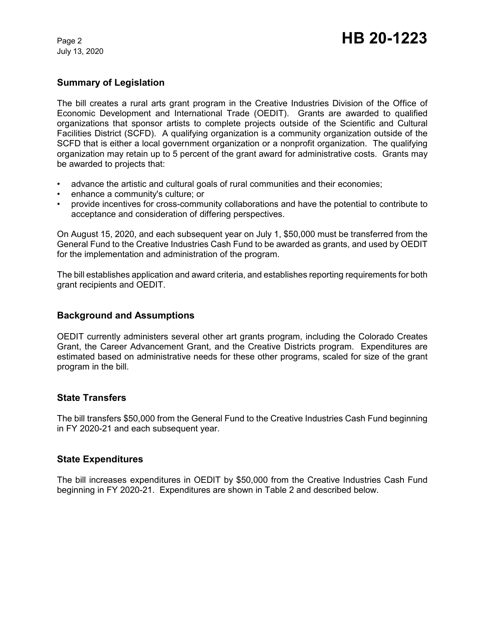July 13, 2020

## **Summary of Legislation**

The bill creates a rural arts grant program in the Creative Industries Division of the Office of Economic Development and International Trade (OEDIT). Grants are awarded to qualified organizations that sponsor artists to complete projects outside of the Scientific and Cultural Facilities District (SCFD). A qualifying organization is a community organization outside of the SCFD that is either a local government organization or a nonprofit organization. The qualifying organization may retain up to 5 percent of the grant award for administrative costs. Grants may be awarded to projects that:

- advance the artistic and cultural goals of rural communities and their economies;
- enhance a community's culture; or
- provide incentives for cross-community collaborations and have the potential to contribute to acceptance and consideration of differing perspectives.

On August 15, 2020, and each subsequent year on July 1, \$50,000 must be transferred from the General Fund to the Creative Industries Cash Fund to be awarded as grants, and used by OEDIT for the implementation and administration of the program.

The bill establishes application and award criteria, and establishes reporting requirements for both grant recipients and OEDIT.

### **Background and Assumptions**

OEDIT currently administers several other art grants program, including the Colorado Creates Grant, the Career Advancement Grant, and the Creative Districts program. Expenditures are estimated based on administrative needs for these other programs, scaled for size of the grant program in the bill.

### **State Transfers**

The bill transfers \$50,000 from the General Fund to the Creative Industries Cash Fund beginning in FY 2020-21 and each subsequent year.

### **State Expenditures**

The bill increases expenditures in OEDIT by \$50,000 from the Creative Industries Cash Fund beginning in FY 2020-21. Expenditures are shown in Table 2 and described below.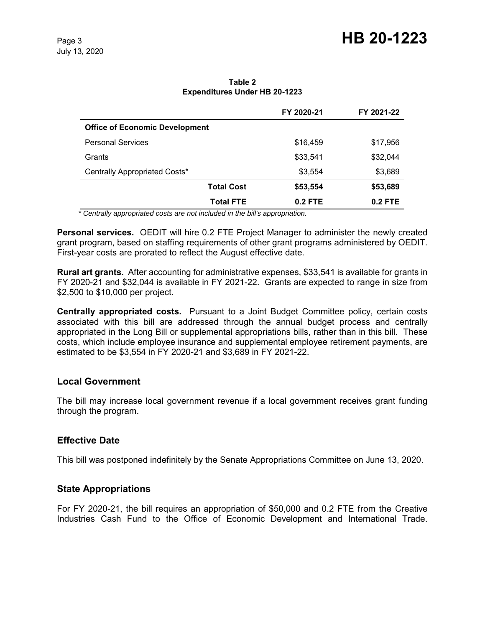**Table 2 Expenditures Under HB 20-1223**

|                                       | FY 2020-21 | FY 2021-22 |
|---------------------------------------|------------|------------|
| <b>Office of Economic Development</b> |            |            |
| <b>Personal Services</b>              | \$16,459   | \$17,956   |
| Grants                                | \$33,541   | \$32,044   |
| Centrally Appropriated Costs*         | \$3,554    | \$3,689    |
| <b>Total Cost</b>                     | \$53,554   | \$53,689   |
| <b>Total FTE</b>                      | $0.2$ FTE  | $0.2$ FTE  |

*\* Centrally appropriated costs are not included in the bill's appropriation.*

**Personal services.** OEDIT will hire 0.2 FTE Project Manager to administer the newly created grant program, based on staffing requirements of other grant programs administered by OEDIT. First-year costs are prorated to reflect the August effective date.

**Rural art grants.** After accounting for administrative expenses, \$33,541 is available for grants in FY 2020-21 and \$32,044 is available in FY 2021-22. Grants are expected to range in size from \$2,500 to \$10,000 per project.

**Centrally appropriated costs.** Pursuant to a Joint Budget Committee policy, certain costs associated with this bill are addressed through the annual budget process and centrally appropriated in the Long Bill or supplemental appropriations bills, rather than in this bill. These costs, which include employee insurance and supplemental employee retirement payments, are estimated to be \$3,554 in FY 2020-21 and \$3,689 in FY 2021-22.

### **Local Government**

The bill may increase local government revenue if a local government receives grant funding through the program.

### **Effective Date**

This bill was postponed indefinitely by the Senate Appropriations Committee on June 13, 2020.

### **State Appropriations**

For FY 2020-21, the bill requires an appropriation of \$50,000 and 0.2 FTE from the Creative Industries Cash Fund to the Office of Economic Development and International Trade.